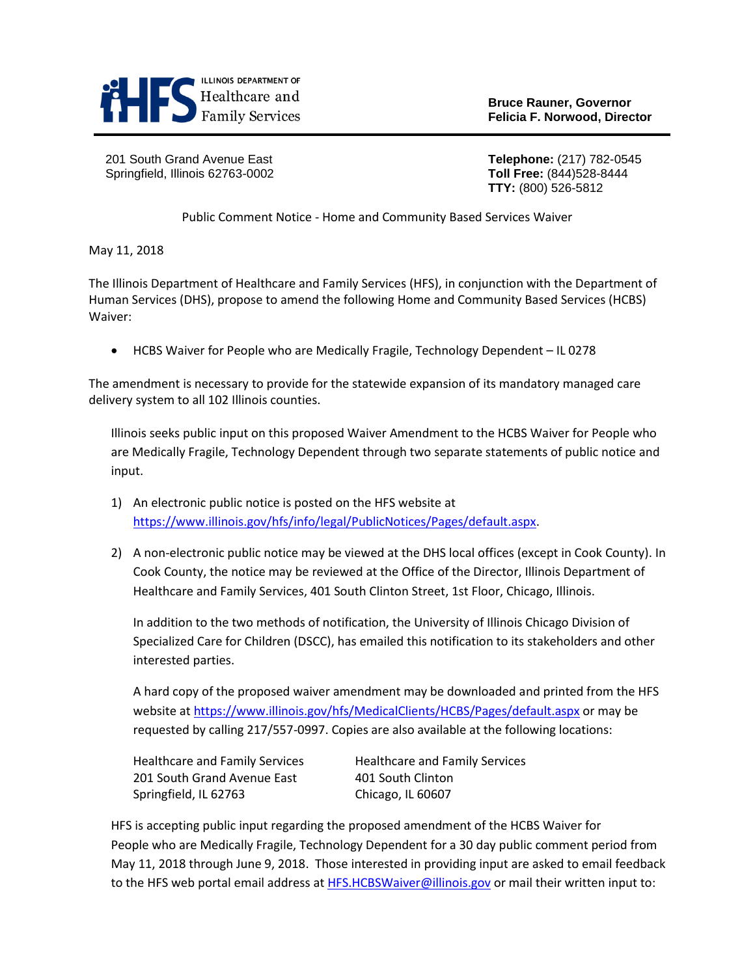

**Bruce Rauner, Governor**

201 South Grand Avenue East **Telephone:** (217) 782-0545 Springfield, Illinois 62763-0002 **Toll Free:** (844)528-8444

**TTY:** (800) 526-5812

Public Comment Notice - Home and Community Based Services Waiver

May 11, 2018

The Illinois Department of Healthcare and Family Services (HFS), in conjunction with the Department of Human Services (DHS), propose to amend the following Home and Community Based Services (HCBS) Waiver:

• HCBS Waiver for People who are Medically Fragile, Technology Dependent – IL 0278

The amendment is necessary to provide for the statewide expansion of its mandatory managed care delivery system to all 102 Illinois counties.

Illinois seeks public input on this proposed Waiver Amendment to the HCBS Waiver for People who are Medically Fragile, Technology Dependent through two separate statements of public notice and input.

- 1) An electronic public notice is posted on the HFS website at [https://www.illinois.gov/hfs/info/legal/PublicNotices/Pages/default.aspx.](https://www.illinois.gov/hfs/info/legal/PublicNotices/Pages/default.aspx)
- 2) A non-electronic public notice may be viewed at the DHS local offices (except in Cook County). In Cook County, the notice may be reviewed at the Office of the Director, Illinois Department of Healthcare and Family Services, 401 South Clinton Street, 1st Floor, Chicago, Illinois.

In addition to the two methods of notification, the University of Illinois Chicago Division of Specialized Care for Children (DSCC), has emailed this notification to its stakeholders and other interested parties.

A hard copy of the proposed waiver amendment may be downloaded and printed from the HFS website at<https://www.illinois.gov/hfs/MedicalClients/HCBS/Pages/default.aspx> or may be requested by calling 217/557-0997. Copies are also available at the following locations:

| <b>Healthcare and Family Services</b> | <b>Healthcare and Family Services</b> |
|---------------------------------------|---------------------------------------|
| 201 South Grand Avenue East           | 401 South Clinton                     |
| Springfield, IL 62763                 | Chicago, IL 60607                     |

HFS is accepting public input regarding the proposed amendment of the HCBS Waiver for People who are Medically Fragile, Technology Dependent for a 30 day public comment period from May 11, 2018 through June 9, 2018.Those interested in providing input are asked to email feedback to the HFS web portal email address a[t HFS.HCBSWaiver@illinois.gov](mailto:HFS.HCBSWaiver@illinois.gov) or mail their written input to: